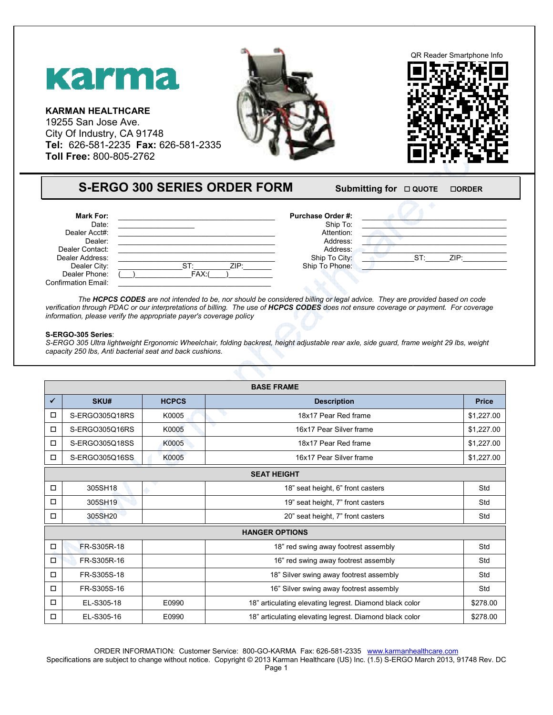

## **S-ERGO 300 SERIES ORDER FORM**

## **FORM** Submitting for  $\Box$  QUOTE  $\Box$ **ORDER**

| <b>Mark For:</b>           |             | <b>Purchase Order #:</b> |                |
|----------------------------|-------------|--------------------------|----------------|
| Date:                      |             | Ship To:                 |                |
| Dealer Acct#:              |             | Attention:               |                |
| Dealer:                    |             | Address:                 |                |
| Dealer Contact:            |             | Address:                 |                |
| Dealer Address:            |             | Ship To City:            | $ST^r$<br>ZIP: |
| Dealer City:               | ZIP:<br>cт. | Ship To Phone:           |                |
| Dealer Phone:              | FAX:        |                          |                |
| <b>Confirmation Email:</b> |             |                          |                |

## **S-ERGO-305 Series**:

|                                                                                                                                       | <b>Karma</b><br><b>KARMAN HEALTHCARE</b><br>19255 San Jose Ave.<br>City Of Industry, CA 91748<br>Tel: 626-581-2235 Fax: 626-581-2335<br>Toll Free: 800-805-2762 |                          | <b>S-ERGO 300 SERIES ORDER FORM</b>                                                                                                       | Submitting for □ QUOTE | <b>OORDER</b> |
|---------------------------------------------------------------------------------------------------------------------------------------|-----------------------------------------------------------------------------------------------------------------------------------------------------------------|--------------------------|-------------------------------------------------------------------------------------------------------------------------------------------|------------------------|---------------|
|                                                                                                                                       |                                                                                                                                                                 |                          |                                                                                                                                           |                        |               |
|                                                                                                                                       | Mark For:<br>Date:<br>Dealer Acct#:<br>Dealer:<br>Dealer Contact:<br>Dealer Address:<br>Dealer City:<br>Dealer Phone:<br><b>Confirmation Email:</b>             | ST:<br>$\overline{FAX:}$ | Purchase Order #:<br>Ship To:<br>Attention:<br>Address:<br>Address:<br>Ship To City:<br>ZIP:<br>Ship To Phone:                            |                        | ST:<br>ZIP:   |
| verification through PDAC or our interpretations of billing. The use of HCPCS CODES does not ensure coverage or payment. For coverage |                                                                                                                                                                 |                          |                                                                                                                                           |                        |               |
|                                                                                                                                       | information, please verify the appropriate payer's coverage policy<br>S-ERGO-305 Series:<br>capacity 250 lbs, Anti bacterial seat and back cushions.            |                          | S-ERGO 305 Ultra lightweight Ergonomic Wheelchair, folding backrest, height adjustable rear axle, side guard, frame weight 29 lbs, weight |                        |               |
|                                                                                                                                       |                                                                                                                                                                 |                          | <b>BASE FRAME</b>                                                                                                                         |                        |               |
| ✓                                                                                                                                     | SKU#                                                                                                                                                            | <b>HCPCS</b>             | <b>Description</b>                                                                                                                        |                        | <b>Price</b>  |
| □                                                                                                                                     | S-ERGO305Q18RS                                                                                                                                                  | K0005                    | 18x17 Pear Red frame                                                                                                                      |                        | \$1,227.00    |
| □                                                                                                                                     | S-ERGO305Q16RS                                                                                                                                                  | K0005                    | 16x17 Pear Silver frame                                                                                                                   |                        | \$1,227.00    |
| □                                                                                                                                     | S-ERGO305Q18SS                                                                                                                                                  | K0005                    | 18x17 Pear Red frame                                                                                                                      |                        | \$1,227.00    |
|                                                                                                                                       | S-ERGO305Q16SS                                                                                                                                                  | K0005                    | 16x17 Pear Silver frame                                                                                                                   |                        | \$1,227.00    |
|                                                                                                                                       |                                                                                                                                                                 |                          | <b>SEAT HEIGHT</b>                                                                                                                        |                        |               |
| □                                                                                                                                     | 305SH18                                                                                                                                                         |                          | 18" seat height, 6" front casters                                                                                                         |                        | Std           |
| 0                                                                                                                                     | 305SH19                                                                                                                                                         |                          | 19" seat height, 7" front casters                                                                                                         |                        | Std           |
| $\Box$                                                                                                                                | 305SH20                                                                                                                                                         |                          | 20" seat height, 7" front casters                                                                                                         |                        | Std           |
|                                                                                                                                       |                                                                                                                                                                 |                          | <b>HANGER OPTIONS</b>                                                                                                                     |                        |               |
| $\Box$                                                                                                                                | FR-S305R-18                                                                                                                                                     |                          | 18" red swing away footrest assembly                                                                                                      |                        | Std           |
| П                                                                                                                                     | FR-S305R-16                                                                                                                                                     |                          | 16" red swing away footrest assembly                                                                                                      |                        | Std           |
| П                                                                                                                                     | FR-S305S-18                                                                                                                                                     |                          | 18" Silver swing away footrest assembly                                                                                                   |                        | Std           |
|                                                                                                                                       | FR-S305S-16                                                                                                                                                     |                          | 16" Silver swing away footrest assembly                                                                                                   |                        | Std           |
| Ω.                                                                                                                                    | EL-S305-18                                                                                                                                                      | E0990                    | 18" articulating elevating legrest. Diamond black color                                                                                   |                        | \$278.00      |

Specifications are subject to change without notice. Copyright © 2013 Karman Healthcare (US) Inc. (1.5) S-ERGO March 2013, 91748 Rev. DC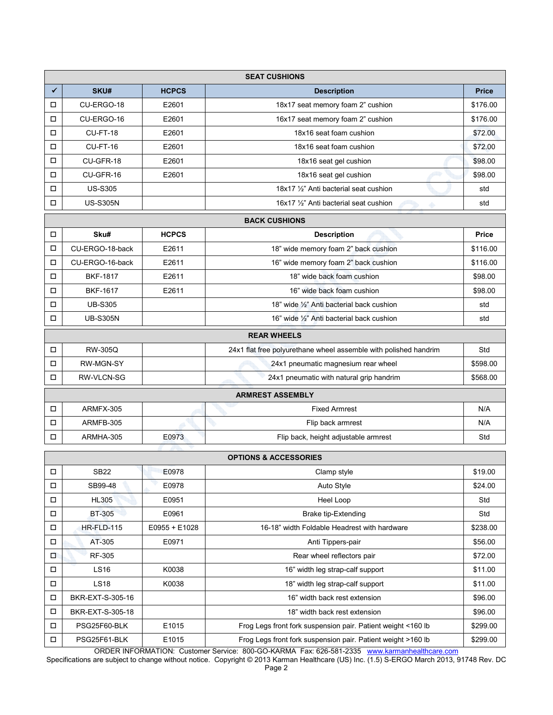|        | <b>SEAT CUSHIONS</b>    |              |                                                                  |              |  |
|--------|-------------------------|--------------|------------------------------------------------------------------|--------------|--|
| ✔      | SKU#                    | <b>HCPCS</b> | <b>Description</b>                                               | <b>Price</b> |  |
| □      | CU-ERGO-18              | E2601        | 18x17 seat memory foam 2" cushion                                | \$176.00     |  |
| □      | CU-ERGO-16              | E2601        | 16x17 seat memory foam 2" cushion                                | \$176.00     |  |
| □      | CU-FT-18                | E2601        | 18x16 seat foam cushion                                          | \$72.00      |  |
| □      | CU-FT-16                | E2601        | 18x16 seat foam cushion                                          | \$72.00      |  |
| $\Box$ | CU-GFR-18               | E2601        | 18x16 seat gel cushion                                           | \$98.00      |  |
| □      | CU-GFR-16               | E2601        | 18x16 seat gel cushion                                           | \$98.00      |  |
| О      | <b>US-S305</b>          |              | 18x17 1/2" Anti bacterial seat cushion                           | std          |  |
| □      | <b>US-S305N</b>         |              | 16x17 1/2" Anti bacterial seat cushion                           | std          |  |
|        | <b>BACK CUSHIONS</b>    |              |                                                                  |              |  |
| $\Box$ | Sku#                    | <b>HCPCS</b> | <b>Description</b>                                               | Price        |  |
| □      | CU-ERGO-18-back         | E2611        | 18" wide memory foam 2" back cushion                             | \$116.00     |  |
| О      | CU-ERGO-16-back         | E2611        | 16" wide memory foam 2" back cushion                             | \$116.00     |  |
| □      | <b>BKF-1817</b>         | E2611        | 18" wide back foam cushion                                       | \$98.00      |  |
| $\Box$ | <b>BKF-1617</b>         | E2611        | 16" wide back foam cushion                                       | \$98.00      |  |
| □      | <b>UB-S305</b>          |              | 18" wide 1/2" Anti bacterial back cushion                        | std          |  |
| П      | <b>UB-S305N</b>         |              | 16" wide 1/2" Anti bacterial back cushion                        | std          |  |
|        | <b>REAR WHEELS</b>      |              |                                                                  |              |  |
| □      | <b>RW-305Q</b>          |              | 24x1 flat free polyurethane wheel assemble with polished handrim | Std          |  |
| □      | RW-MGN-SY               |              | 24x1 pneumatic magnesium rear wheel                              | \$598.00     |  |
| □      | <b>RW-VLCN-SG</b>       |              | 24x1 pneumatic with natural grip handrim                         | \$568.00     |  |
|        | <b>ARMREST ASSEMBLY</b> |              |                                                                  |              |  |
| О      | ARMFX-305               |              | <b>Fixed Armrest</b>                                             | N/A          |  |
| □      | ARMFB-305               |              | Flip back armrest                                                | N/A          |  |
| О      | ARMHA-305               | E0973        | Flip back, height adjustable armrest                             | Std          |  |

|        | <b>OPTIONS &amp; ACCESSORIES</b> |                 |                                                              |          |  |
|--------|----------------------------------|-----------------|--------------------------------------------------------------|----------|--|
| □      | <b>SB22</b>                      | E0978           | Clamp style                                                  | \$19.00  |  |
| $\Box$ | SB99-48                          | E0978           | Auto Style                                                   | \$24.00  |  |
| □      | <b>HL305</b>                     | E0951           | Heel Loop                                                    | Std      |  |
| □      | <b>BT-305</b>                    | E0961           | Brake tip-Extending                                          | Std      |  |
| □      | HR-FLD-115                       | $E0955 + E1028$ | 16-18" width Foldable Headrest with hardware                 | \$238.00 |  |
| □      | AT-305                           | E0971           | Anti Tippers-pair                                            | \$56.00  |  |
| о      | <b>RF-305</b>                    |                 | Rear wheel reflectors pair                                   | \$72.00  |  |
| □      | LS16                             | K0038           | 16" width leg strap-calf support                             | \$11.00  |  |
| □      | <b>LS18</b>                      | K0038           | 18" width leg strap-calf support                             | \$11.00  |  |
| $\Box$ | BKR-EXT-S-305-16                 |                 | 16" width back rest extension                                | \$96.00  |  |
| □      | BKR-EXT-S-305-18                 |                 | 18" width back rest extension                                | \$96.00  |  |
| □      | PSG25F60-BLK                     | E1015           | Frog Legs front fork suspension pair. Patient weight <160 lb | \$299.00 |  |
| □      | PSG25F61-BLK                     | E1015           | Frog Legs front fork suspension pair. Patient weight >160 lb | \$299.00 |  |

ORDER INFORMATION: Customer Service: 800-GO-KARMA Fax: 626-581-2335 www.karmanhealthcare.com Specifications are subject to change without notice. Copyright © 2013 Karman Healthcare (US) Inc. (1.5) S-ERGO March 2013, 91748 Rev. DC